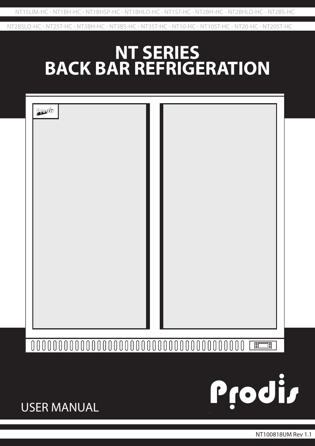NT2BSLO-HC - NT2ST-HC - NT3BH-HC - NT3BS-HC - NT3ST-HC - NT10-HC - NT10ST-HC - NT20-HC - NT20ST-HC

# **NT SERIES BACK BAR REFRIGERATION**

| Prodit |  |
|--------|--|
|        |  |
|        |  |
|        |  |
|        |  |
|        |  |
|        |  |
|        |  |
|        |  |
|        |  |
|        |  |
|        |  |

#### $\overline{\mathsf{BC}}$  $\overline{\exists}$

USER MANUAL

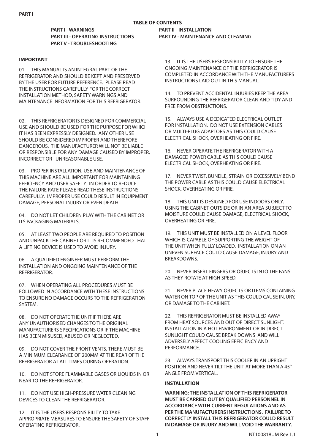# **TABLE OF CONTENTS**

**PART I - WARNINGS PART II - INSTALLATION PART III - OPERATING INSTRUCTIONS PART IV - MAINTENANCE AND CLEANING PART V - TROUBLESHOOTING**

\_\_\_\_\_\_\_\_\_\_\_\_\_\_\_\_\_\_\_\_\_\_\_\_\_\_\_\_\_\_

#### **IMPORTANT**

01. THIS MANUAL IS AN INTEGRAL PART OF THE REFRIGERATOR AND SHOULD BE KEPT AND PRESERVED BY THE USER FOR FUTURE REFERENCE. PLEASE READ THE INSTRUCTIONS CAREFULLY FOR THE CORRECT INSTALLATION METHOD, SAFETY WARNINGS AND MAINTENANCE INFORMATION FOR THIS REFRIGERATOR.

02. THIS REFRIGERATOR IS DESIGNED FOR COMMERCIAL USE AND SHOULD BE USED FOR THE PURPOSE FOR WHICH IT HAS BEEN EXPRESSLY DESIGNED. ANY OTHER USE SHOULD BE CONSIDERED IMPROPER AND THEREFORE DANGEROUS. THE MANUFACTURER WILL NOT BE LIABLE OR RESPONSIBLE FOR ANY DAMAGE CAUSED BY IMPROPER, INCORRECT OR UNREASONABLE USE.

03. PROPER INSTALLATION, USE AND MAINTENANCE OF THIS MACHINE ARE ALL IMPORTANT FOR MAINTAINING EFFICIENCY AND USER SAFETY. IN ORDER TO REDUCE THE FAILURE RATE PLEASE READ THESE INSTRUCTIONS CAREFULLY. IMPROPER USE COULD RESULT IN EQUIPMENT DAMAGE, PERSONAL INJURY OR EVEN DEATH.

04. DO NOT LET CHILDREN PLAY WITH THE CABINET OR ITS PACKAGING MATERIALS.

05. AT LEAST TWO PEOPLE ARE REQUIRED TO POSITION AND UNPACK THE CABINET OR IT IS RECOMMENDED THAT A LIFTING DEVICE IS USED TO AVOID INJURY.

06. A QUALIFIED ENGINEER MUST PERFORM THE INSTALLATION AND ONGOING MAINTENANCE OF THE REFRIGERATOR.

07. WHEN OPERATING ALL PROCEDURES MUST BE FOLLOWED IN ACCORDANCE WITH THESE INSTRUCTIONS TO ENSURE NO DAMAGE OCCURS TO THE REFRIGERATION SYSTEM.

08. DO NOT OPERATE THE UNIT IF THERE ARE ANY UNAUTHORISED CHANGES TO THE ORIGINAL MANUFACTURERS SPECIFICATIONS OR IF THE MACHINE HAS BEEN MISUSED, ABUSED OR NEGLECTED.

09. DO NOT COVER THE FRONT VENTS, THERE MUST BE A MINIMUM CLEARANCE OF 200MM AT THE REAR OF THE REFRIGERATOR AT ALL TIMES DURING OPERATION.

10. DO NOT STORE FLAMMABLE GASES OR LIQUIDS IN OR NEAR TO THE REFRIGERATOR.

11. DO NOT USE HIGH-PRESSURE WATER CLEANING DEVICES TO CLEAN THE REFRIGERATOR.

12. IT IS THE USERS RESPONSIBILITY TO TAKE APPROPRIATE MEASURES TO ENSURE THE SAFETY OF STAFF OPERATING REFRIGERATOR.

13. IT IS THE USERS RESPONSIBILITY TO ENSURE THE ONGOING MAINTENANCE OF THE REFRIGERATOR IS COMPLETED IN ACCORDANCE WITH THE MANUFACTURERS INSTRUCTIONS LAID OUT IN THIS MANUAL.

14. TO PREVENT ACCIDENTAL INJURIES KEEP THE AREA SURROUNDING THE REFRIGERATOR CLEAN AND TIDY AND FREE FROM OBSTRUCTIONS.

15. ALWAYS USE A DEDICATED ELECTRICAL OUTLET FOR INSTALLATION. DO NOT USE EXTENSION CABLES OR MULTI-PLUG ADAPTORS AS THIS COULD CAUSE ELECTRICAL SHOCK, OVERHEATING OR FIRE.

16. NEVER OPERATE THE REFRIGERATOR WITH A DAMAGED POWER CABLE AS THIS COULD CAUSE ELECTRICAL SHOCK, OVERHEATING OR FIRE.

17. NEVER TWIST, BUNDLE, STRAIN OR EXCESSIVELY BEND THE POWER CABLE AS THIS COULD CAUSE ELECTRICAL SHOCK, OVERHEATING OR FIRE.

18. THIS UNIT IS DESIGNED FOR USE INDOORS ONLY, USING THE CABINET OUTSIDE OR IN AN AREA SUBJECT TO MOISTURE COULD CAUSE DAMAGE, ELECTRICAL SHOCK, OVERHEATING OR FIRE.

19. THIS UNIT MUST BE INSTALLED ON A LEVEL FLOOR WHICH IS CAPABLE OF SUPPORTING THE WEIGHT OF THE UNIT WHEN FULLY LOADED. INSTALLATION ON AN UNEVEN SURFACE COULD CAUSE DAMAGE, INJURY AND BREAKDOWNS.

20. NEVER INSERT FINGERS OR OBJECTS INTO THE FANS AS THEY ROTATE AT HIGH SPEED.

21. NEVER PLACE HEAVY OBJECTS OR ITEMS CONTAINING WATER ON TOP OF THE UNIT AS THIS COULD CAUSE INJURY, OR DAMAGE TO THE CABINET.

22. THIS REFRIGERATOR MUST BE INSTALLED AWAY FROM HEAT SOURCES AND OUT OF DIRECT SUNLIGHT. INSTALLATION IN A HOT ENVIRONMENT OR IN DIRECT SUNLIGHT COULD CAUSE BREAK DOWNS AND WILL ADVERSELY AFFECT COOLING EFFICIENCY AND PERFORMANCE.

23. ALWAYS TRANSPORT THIS COOLER IN AN UPRIGHT POSITION AND NEVER TILT THE UNIT AT MORE THAN A 45° ANGLE FROM VERTICAL.

#### **INSTALLATION**

**WARNING: THE INSTALLATION OF THIS REFRIGERATOR MUST BE CARRIED OUT BY QUALIFIED PERSONNEL IN ACCORDANCE WITH CURRENT REGULATIONS AND AS PER THE MANUFACTURERS INSTRUCTIONS. FAILURE TO CORRECTLY INSTALL THIS REFRIGERATOR COULD RESULT IN DAMAGE OR INJURY AND WILL VOID THE WARRANTY.**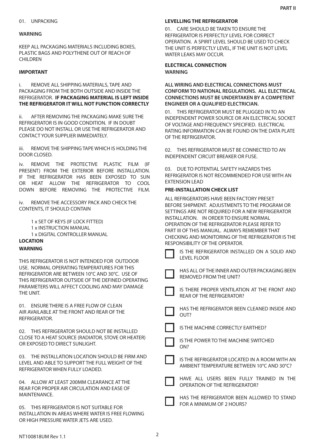#### **WARNING**

KEEP ALL PACKAGING MATERIALS INCLUDING BOXES, PLASTIC BAGS AND POLYTHENE OUT OF REACH OF CHILDREN

#### **IMPORTANT**

i. REMOVE ALL SHIPPING MATERIALS, TAPE AND PACKAGING FROM THE BOTH OUTSIDE AND INSIDE THE REFRIGERATOR. **IF PACKAGING MATERIAL IS LEFT INSIDE THE REFRIGERATOR IT WILL NOT FUNCTION CORRECTLY**

ii. AFTER REMOVING THE PACKAGING MAKE SURE THE REFRIGERATOR IS IN GOOD CONDITION. IF IN DOUBT PLEASE DO NOT INSTALL OR USE THE REFRIGERATOR AND CONTACT YOUR SUPPLIER IMMEDIATELY.

iii. REMOVE THE SHIPPING TAPE WHICH IS HOLDING THE DOOR CLOSED.

iv. REMOVE THE PROTECTIVE PLASTIC FILM (IF PRESENT) FROM THE EXTERIOR BEFORE INSTALLATION. IF THE REFRIGERATOR HAS BEEN EXPOSED TO SUN OR HEAT ALLOW THE REFRIGERATOR TO COOL DOWN BEFORE REMOVING THE PROTECTIVE FILM.

iv. REMOVE THE ACCESSORY PACK AND CHECK THE CONTENTS, IT SHOULD CONTAIN

1 x SET OF KEYS (IF LOCK FITTED) 1 x INSTRUCTION MANUAL 1 x DIGITAL CONTROLLER MANUAL

# **LOCATION**

#### **WARNING**

THIS REFRIGERATOR IS NOT INTENDED FOR OUTDOOR USE. NORMAL OPERATING TEMPERATURES FOR THIS REFRIGERATOR ARE BETWEEN 10°C AND 30°C. USE OF THIS REFRIGERATOR OUTSIDE OF THE DEFINED OPERATING PARAMETERS WILL AFFECT COOLING AND MAY DAMAGE THE UNIT.

01. ENSURE THERE IS A FREE FLOW OF CLEAN AIR AVAILABLE AT THE FRONT AND REAR OF THE REFRIGERATOR.

02. THIS REFRIGERATOR SHOULD NOT BE INSTALLED CLOSE TO A HEAT SOURCE (RADIATOR, STOVE OR HEATER) OR EXPOSED TO DIRECT SUNLIGHT.

03. THE INSTALLATION LOCATION SHOULD BE FIRM AND LEVEL AND ABLE TO SUPPORT THE FULL WEIGHT OF THE REFRIGERATOR WHEN FULLY LOADED.

04. ALLOW AT LEAST 200MM CLEARANCE AT THE REAR FOR PROPER AIR CIRCULATION AND EASE OF MAINTENANCE.

05. THIS REFRIGERATOR IS NOT SUITABLE FOR INSTALLATION IN AREAS WHERE WATER IS FREE FLOWING OR HIGH PRESSURE WATER JETS ARE USED.

#### **LEVELLING THE REFRIGERATOR**

01. CARE SHOULD BE TAKEN TO ENSURE THE REFRIGERATOR IS PERFECTLY LEVEL FOR CORRECT OPERATION. A SPIRIT LEVEL SHOULD BE USED TO CHECK THE UNIT IS PERFECTLY LEVEL, IF THE UNIT IS NOT LEVEL WATER LEAKS MAY OCCUR.

#### **WARNING ELECTRICAL CONNECTION**

**ALL WIRING AND ELECTRICAL CONNECTIONS MUST CONFORM TO NATIONAL REGULATIONS. ALL ELECTRICAL CONNECTIONS MUST BE UNDERTAKEN BY A COMPETENT ENGINEER OR A QUALIFIED ELECTRICIAN.**

01. THIS REFRIGERATOR MUST BE PLUGGED IN TO AN INDEPENDENT POWER SOURCE OR AN ELECTRICAL SOCKET OF VOLTAGE AND FREQUENCY SPECIFIED. ELECTRICAL RATING INFORMATION CAN BE FOUND ON THE DATA PLATE OF THE REFRIGERATOR.

02. THIS REFRIGERATOR MUST BE CONNECTED TO AN INDEPENDENT CIRCUIT BREAKER OR FUSE.

03. DUE TO POTENTIAL SAFETY HAZARDS THIS REFRIGERATOR IS NOT RECOMMENDED FOR USE WITH AN EXTENSION LEAD

#### **PRE-INSTALLATION CHECK LIST**

| ALL REFRIGERATORS HAVE BEEN FACTORY PRESET         |
|----------------------------------------------------|
| BEFORE SHIPMENT. ADJUSTMENTS TO THE PROGRAM OR     |
| SETTINGS ARE NOT REOUIRED FOR A NEW REFRIGERATOR   |
| INSTALLATION. IN ORDER TO ENSURE NORMAL            |
| OPERATION OF THE REFRIGERATOR PLEASE REFER TO      |
| PART III OF THIS MANUAL. ALWAYS REMEMBER THAT      |
| CHECKING AND MONITORING OF THE REFRIGERATOR IS THE |
| RESPONSIBILITY OF THE OPERATOR.                    |
|                                                    |



IS THE REFRIGERATOR INSTALLED ON A SOLID AND LEVEL FLOOR

| HAS ALL OF THE INNER AND OUTER PACKAGING BEEN |
|-----------------------------------------------|
| REMOVED FROM THE UNIT?                        |

IS THERE PROPER VENTILATION AT THE FRONT AND REAR OF THE REFRIGERATOR?



HAS THE REFRIGERATOR BEEN CLEANED INSIDE AND





IS THE POWER TO THE MACHINE SWITCHED ON?





HAVE ALL USERS BEEN FULLY TRAINED IN THE OPERATION OF THE REFRIGERATOR?

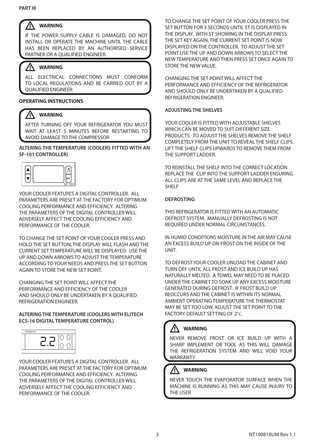#### Λ **WARNING**

IF THE POWER SUPPLY CABLE IS DAMAGED, DO NOT INSTALL OR OPERATE THE MACHINE UNTIL THE CABLE HAS BEEN REPLACED BY AN AUTHORISED SERVICE PARTNER OR A QUALIFIED ENGINEER.

#### /N **WARNING**

ALL ELECTRICAL CONNECTIONS MUST CONFORM TO LOCAL REGULATIONS AND BE CARRIED OUT BY A QUALIFIED ENGINEER

# **OPERATING INSTRUCTIONS**

#### **WARNING** ΛŊ

AFTER TURNING OFF YOUR REFRIGERATOR YOU MUST WAIT AT LEAST 5 MINUTES BEFORE RESTARTING TO AVOID DAMAGE TO THE COMPRESSOR

#### **ALTERING THE TEMPERATURE (COOLERS FITTED WITH AN SF-101 CONTROLLER)**



YOUR COOLER FEATURES A DIGITAL CONTROLLER. ALL PARAMETERS ARE PRESET AT THE FACTORY FOR OPTIMUM COOLING PERFORMANCE AND EFFICIENCY. ALTERING THE PARAMETERS OF THE DIGITAL CONTROLLER WILL ADVERSELY AFFECT THE COOLING EFFICIENCY AND PERFORMANCE OF THE COOLER.

TO CHANGE THE SET POINT OF YOUR COOLER PRESS AND HOLD THE SET BUTTON, THE DISPLAY WILL FLASH AND THE CURRENT SET TEMPERATURE WILL BE DISPLAYED. USE THE UP AND DOWN ARROWS TO ADJUST THE TEMPERATURE ACCORDING TO YOUR NEEDS AND PRESS THE SET BUTTON AGAIN TO STORE THE NEW SET POINT.

CHANGING THE SET POINT WILL AFFECT THE PERFORMANCE AND EFFICIENCY OF THE COOLER AND SHOULD ONLY BE UNDERTAKEN BY A QUALIFIED REFRIGERATION ENGINEER.

## **ALTERING THE TEMPERATURE (COOLERS WITH ELITECH ECS-16 DIGITAL TEMPERATURE CONTROL)**



YOUR COOLER FEATURES A DIGITAL CONTROLLER. ALL PARAMETERS ARE PRESET AT THE FACTORY FOR OPTIMUM COOLING PERFORMANCE AND EFFICIENCY. ALTERING THE PARAMETERS OF THE DIGITAL CONTROLLER WILL ADVERSELY AFFECT THE COOLING EFFICIENCY AND PERFORMANCE OF THE COOLER.

TO CHANGE THE SET POINT OF YOUR COOLER PRESS THE SET BUTTON FOR 3 SECONDS UNTIL ST IS DISPLAYED IN THE DISPLAY. WITH ST SHOWING IN THE DISPLAY PRESS THE SET KEY AGAIN, THE CURRENT SET POINT IS NOW DISPLAYED ON THE CONTROLLER. TO ADJUST THE SET POINT USE THE UP AND DOWN ARROWS TO SELECT THE NEW TEMPERATURE AND THEN PRESS SET ONCE AGAIN TO STORE THE NEW VALUE.

CHANGING THE SET POINT WILL AFFECT THE PERFORMANCE AND EFFICIENCY OF THE REFRIGERATOR AND SHOULD ONLY BE UNDERTAKEN BY A QUALIFIED REFRIGERATION ENGINEER.

# **ADJUSTING THE SHELVES**

YOUR COOLER IS FITTED WITH ADJUSTABLE SHELVES WHICH CAN BE MOVED TO SUIT DIFFERENT SIZE PRODUCTS. TO ADJUST THE SHELVES REMOVE THE SHELF COMPLETELY FROM THE UNIT TO REVEAL THE SHELF CLIPS. LIFT THE SHELF CLIPS UPWARDS TO REMOVE THEM FROM THE SUPPORT LADDER.

TO REINSTALL THE SHELF INTO THE CORRECT LOCATION REPLACE THE CLIP INTO THE SUPPORT LADDER ENSURING ALL CLIPS ARE AT THE SAME LEVEL AND REPLACE THE SHELF

## **DEFROSTING**

THIS REFRIGERATOR IS FITTED WITH AN AUTOMATIC DEFROST SYSTEM. MANUALLY DEFROSTING IS NOT REQUIRED UNDER NORMAL CIRCUMSTANCES.

IN HUMID CONDITIONS MOISTURE IN THE AIR MAY CAUSE AN EXCESS BUILD UP ON FROST ON THE INSIDE OF THE UNIT.

TO DEFROST YOUR COOLER UNLOAD THE CABINET AND TURN OFF UNTIL ALL FROST AND ICE BUILD UP HAS NATURALLY MELTED. A TOWEL MAY NEED TO BE PLACED UNDER THE CABINET TO SOAK UP ANY EXCESS MOISTURE GENERATED DURING DEFROST. IF FROST BUILD UP REOCCURS AND THE CABINET IS WITHIN ITS NORMAL AMBIENT OPERATING TEMPERATURE THE THERMOSTAT MAY BE SET TOO LOW, ADJUST THE SET POINT TO THE FACTORY DEFAULT SETTING OF 2°c.

#### ⁄N **WARNING**

NEVER REMOVE FROST OR ICE BUILD UP WITH A SHARP IMPLEMENT OR TOOL AS THIS WILL DAMAGE THE REFRIGERATION SYSTEM AND WILL VOID YOUR WARRANTY

# **WARNING**

NEVER TOUCH THE EVAPORATOR SURFACE WHEN THE MACHINE IS RUNNING AS THIS MAY CAUSE INJURY TO THE USER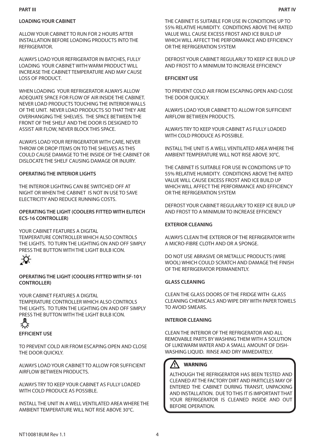#### **PART III**

ALLOW YOUR CABINET TO RUN FOR 2 HOURS AFTER INSTALLATION BEFORE LOADING PRODUCTS INTO THE REFRIGERATOR.

ALWAYS LOAD YOUR REFRIGERATOR IN BATCHES, FULLY LOADING YOUR CABINET WITH WARM PRODUCT WILL INCREASE THE CABINET TEMPERATURE AND MAY CAUSE LOSS OF PRODUCT.

WHEN LOADING YOUR REFRIGERATOR ALWAYS ALLOW ADEQUATE SPACE FOR FLOW OF AIR INSIDE THE CABINET. NEVER LOAD PRODUCTS TOUCHING THE INTERIOR WALLS OF THE UNIT. NEVER LOAD PRODUCTS SO THAT THEY ARE OVERHANGING THE SHELVES. THE SPACE BETWEEN THE FRONT OF THE SHELF AND THE DOOR IS DESIGNED TO ASSIST AIR FLOW, NEVER BLOCK THIS SPACE.

ALWAYS LOAD YOUR REFRIGERATOR WITH CARE, NEVER THROW OR DROP ITEMS ON TO THE SHELVES AS THIS COULD CAUSE DAMAGE TO THE INSIDE OF THE CABINET OR DISLOCATE THE SHELF CAUSING DAMAGE OR INJURY.

# **OPERATING THE INTERIOR LIGHTS**

THE INTERIOR LIGHTING CAN BE SWITCHED OFF AT NIGHT OR WHEN THE CABINET IS NOT IN USE TO SAVE ELECTRICITY AND REDUCE RUNNING COSTS.

## **OPERATING THE LIGHT (COOLERS FITTED WITH ELITECH ECS-16 CONTROLLER)**

YOUR CABINET FEATURES A DIGITAL TEMPERATURE CONTROLLER WHICH ALSO CONTROLS THE LIGHTS. TO TURN THE LIGHTING ON AND OFF SIMPLY PRESS THE BUTTON WITH THE LIGHT BULB ICON.



## **OPERATING THE LIGHT (COOLERS FITTED WITH SF-101 CONTROLLER)**

YOUR CABINET FEATURES A DIGITAL TEMPERATURE CONTROLLER WHICH ALSO CONTROLS THE LIGHTS. TO TURN THE LIGHTING ON AND OFF SIMPLY PRESS THE BUTTON WITH THE LIGHT BULB ICON.

#### **EFFICIENT USE**

TO PREVENT COLD AIR FROM ESCAPING OPEN AND CLOSE THE DOOR QUICKLY.

ALWAYS LOAD YOUR CABINET TO ALLOW FOR SUFFICIENT AIRFLOW BETWEEN PRODUCTS.

ALWAYS TRY TO KEEP YOUR CABINET AS FULLY LOADED WITH COLD PRODUCE AS POSSIBLE.

INSTALL THE UNIT IN A WELL VENTILATED AREA WHERE THE AMBIENT TEMPERATURE WILL NOT RISE ABOVE 30°C.

THE CABINET IS SUITABLE FOR USE IN CONDITIONS UP TO 55% RELATIVE HUMIDITY. CONDITIONS ABOVE THE RATED VALUE WILL CAUSE EXCESS FROST AND ICE BUILD UP WHICH WILL AFFECT THE PERFORMANCE AND EFFICIENCY OR THE REFRIGERATION SYSTEM

DEFROST YOUR CABINET REGULARLY TO KEEP ICE BUILD UP AND FROST TO A MINIMUM TO INCREASE EFFICIENCY

#### **EFFICIENT USE**

TO PREVENT COLD AIR FROM ESCAPING OPEN AND CLOSE THE DOOR QUICKLY.

ALWAYS LOAD YOUR CABINET TO ALLOW FOR SUFFICIENT AIRFLOW BETWEEN PRODUCTS.

ALWAYS TRY TO KEEP YOUR CABINET AS FULLY LOADED WITH COLD PRODUCE AS POSSIBLE.

INSTALL THE UNIT IS A WELL VENTILATED AREA WHERE THE AMBIENT TEMPERATURE WILL NOT RISE ABOVE 30°C.

THE CABINET IS SUITABLE FOR USE IN CONDITIONS UP TO 55% RELATIVE HUMIDITY. CONDITIONS ABOVE THE RATED VALUE WILL CAUSE EXCESS FROST AND ICE BUILD UP WHICH WILL AFFECT THE PERFORMANCE AND EFFICIENCY OR THE REFRIGERATION SYSTEM

DEFROST YOUR CABINET REGULARLY TO KEEP ICE BUILD UP AND FROST TO A MINIMUM TO INCREASE EFFICIENCY

#### **EXTERIOR CLEANING**

ALWAYS CLEAN THE EXTERIOR OF THE REFRIGERATOR WITH A MICRO-FIBRE CLOTH AND OR A SPONGE.

DO NOT USE ABRASIVE OR METALLIC PRODUCTS (WIRE WOOL) WHICH COULD SCRATCH AND DAMAGE THE FINISH OF THE REFRIGERATOR PERMANENTLY.

#### **GLASS CLEANING**

CLEAN THE GLASS DOORS OF THE FRIDGE WITH GLASS CLEANING CHEMICALS AND WIPE DRY WITH PAPER TOWELS TO AVOID SMEARS.

#### **INTERIOR CLEANING**

CLEAN THE INTERIOR OF THE REFRIGERATOR AND ALL REMOVABLE PARTS BY WASHING THEM WITH A SOLUTION OF LUKEWARM WATER AND A SMALL AMOUNT OF DISH-WASHING LIQUID. RINSE AND DRY IMMEDIATELY.

#### /N **WARNING**

ALTHOUGH THE REFRIGERATOR HAS BEEN TESTED AND CLEANED AT THE FACTORY DIRT AND PARTICLES MAY OF ENTERED THE CABINET DURING TRANSIT, UNPACKING AND INSTALLATION. DUE TO THIS IT IS IMPORTANT THAT YOUR REFRIGERATOR IS CLEANED INSIDE AND OUT BEFORE OPERATION.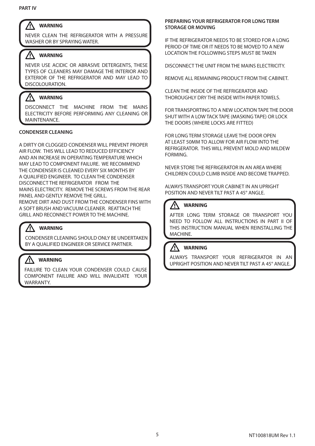#### Λ **WARNING**

NEVER CLEAN THE REFRIGERATOR WITH A PRESSURE WASHER OR BY SPRAYING WATER.

#### Λ **WARNING**

NEVER USE ACIDIC OR ABRASIVE DETERGENTS, THESE TYPES OF CLEANERS MAY DAMAGE THE INTERIOR AND EXTERIOR OF THE REFRIGERATOR AND MAY LEAD TO DISCOLOURATION.

#### ΛŅ **WARNING**

DISCONNECT THE MACHINE FROM THE MAINS ELECTRICITY BEFORE PERFORMING ANY CLEANING OR MAINTENANCE.

# **CONDENSER CLEANING**

A DIRTY OR CLOGGED CONDENSER WILL PREVENT PROPER AIR FLOW. THIS WILL LEAD TO REDUCED EFFICIENCY AND AN INCREASE IN OPERATING TEMPERATURE WHICH MAY LEAD TO COMPONENT FAILURE. WE RECOMMEND THE CONDENSER IS CLEANED EVERY SIX MONTHS BY A QUALIFIED ENGINEER. TO CLEAN THE CONDENSER DISCONNECT THE REFRIGERATOR FROM THE MAINS ELECTRICITY. REMOVE THE SCREWS FROM THE REAR PANEL AND GENTLY REMOVE THE GRILL.

REMOVE DIRT AND DUST FROM THE CONDENSER FINS WITH A SOFT BRUSH AND VACUUM CLEANER. REATTACH THE GRILL AND RECONNECT POWER TO THE MACHINE.

# **WARNING**

CONDENSER CLEANING SHOULD ONLY BE UNDERTAKEN BY A QUALIFIED ENGINEER OR SERVICE PARTNER.

#### ⁄N **WARNING**

FAILURE TO CLEAN YOUR CONDENSER COULD CAUSE COMPONENT FAILURE AND WILL INVALIDATE YOUR WARRANTY.

# **PREPARING YOUR REFRIGERATOR FOR LONG TERM STORAGE OR MOVING**

IF THE REFRIGERATOR NEEDS TO BE STORED FOR A LONG PERIOD OF TIME OR IT NEEDS TO BE MOVED TO A NEW LOCATION THE FOLLOWING STEPS MUST BE TAKEN

DISCONNECT THE UNIT FROM THE MAINS ELECTRICITY.

REMOVE ALL REMAINING PRODUCT FROM THE CABINET.

CLEAN THE INSIDE OF THE REFRIGERATOR AND THOROUGHLY DRY THE INSIDE WITH PAPER TOWELS.

FOR TRANSPORTING TO A NEW LOCATION TAPE THE DOOR SHUT WITH A LOW TACK TAPE (MASKING TAPE) OR LOCK THE DOORS (WHERE LOCKS ARE FITTED)

FOR LONG TERM STORAGE LEAVE THE DOOR OPEN AT LEAST 50MM TO ALLOW FOR AIR FLOW INTO THE REFRIGERATOR. THIS WILL PREVENT MOLD AND MILDEW FORMING.

NEVER STORE THE REFRIGERATOR IN AN AREA WHERE CHILDREN COULD CLIMB INSIDE AND BECOME TRAPPED.

ALWAYS TRANSPORT YOUR CABINET IN AN UPRIGHT POSITION AND NEVER TILT PAST A 45° ANGLE.

#### ∕! **WARNING**

AFTER LONG TERM STORAGE OR TRANSPORT YOU NEED TO FOLLOW ALL INSTRUCTIONS IN PART II OF THIS INSTRUCTION MANUAL WHEN REINSTALLING THE MACHINE.

#### **WARNING** /Ņ

ALWAYS TRANSPORT YOUR REFRIGERATOR IN AN UPRIGHT POSITION AND NEVER TILT PAST A 45° ANGLE.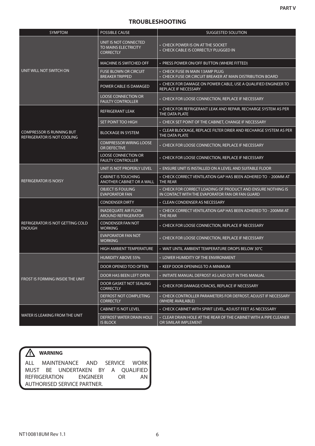# **TROUBLESHOOTING**

| <b>SYMPTOM</b>                                                         | <b>POSSIBLE CAUSE</b>                                             | <b>SUGGESTED SOLUTION</b>                                                                                       |
|------------------------------------------------------------------------|-------------------------------------------------------------------|-----------------------------------------------------------------------------------------------------------------|
|                                                                        | UNIT IS NOT CONNECTED<br>TO MAINS ELECTRICITY<br><b>CORRECTLY</b> | • CHECK POWER IS ON AT THE SOCKET<br>• CHECK CABLE IS CORRECTLY PLUGGED IN                                      |
|                                                                        | <b>MACHINE IS SWITCHED OFF</b>                                    | • PRESS POWER ON/OFF BUTTON (WHERE FITTED)                                                                      |
| UNIT WILL NOT SWITCH ON                                                | <b>FUSE BLOWN OR CIRCUIT</b><br><b>BREAKER TRIPPED</b>            | • CHECK FUSE IN MAIN 13AMP PLUG<br>• CHECK FUSE OR CIRCUIT BREAKER AT MAIN DISTRIBUTION BOARD                   |
|                                                                        | POWER CABLE IS DAMAGED                                            | • CHECK FOR DAMAGE ON POWER CABLE, USE A QUALIFIED ENGINEER TO<br>REPLACE IF NECESSARY                          |
|                                                                        | <b>LOOSE CONNECTION OR</b><br><b>FAULTY CONTROLLER</b>            | • CHECK FOR LOOSE CONNECTION, REPLACE IF NECESSARY                                                              |
|                                                                        | <b>REFRIGERANT LEAK</b>                                           | • CHECK FOR REFRIGERANT LEAK AND REPAIR, RECHARGE SYSTEM AS PER<br>THE DATA PLATE                               |
|                                                                        | SET POINT TOO HIGH                                                | • CHECK SET POINT OF THE CABINET, CHANGE IF NECESSARY                                                           |
| <b>COMPRESSOR IS RUNNING BUT</b><br><b>REFRIGERATOR IS NOT COOLING</b> | <b>BLOCKAGE IN SYSTEM</b>                                         | • CLEAR BLOCKAGE, REPLACE FILTER DRIER AND RECHARGE SYSTEM AS PER<br>THE DATA PLATE                             |
|                                                                        | <b>COMPRESSOR WIRING LOOSE</b><br>OR DEFECTIVE                    | • CHECK FOR LOOSE CONNECTION, REPLACE IF NECESSARY                                                              |
|                                                                        | <b>LOOSE CONNECTION OR</b><br><b>FAULTY CONTROLLER</b>            | • CHECK FOR LOOSE CONNECTION, REPLACE IF NECESSARY                                                              |
|                                                                        | UNIT IS NOT PROPERLY LEVEL                                        | • ENSURE UNIT IS INSTALLED ON A LEVEL AND SUITABLE FLOOR                                                        |
| <b>REFRIGERATOR IS NOISY</b>                                           | <b>CABINET IS TOUCHING</b><br>ANOTHER CABINET OR A WALL           | • CHECK CORRECT VENTILATION GAP HAS BEEN ADHERED TO - 200MM AT<br><b>THE REAR</b>                               |
|                                                                        | <b>OBJECT IS FOULING</b><br><b>EVAPORATOR FAN</b>                 | • CHECK FOR CORRECT LOADING OF PRODUCT AND ENSURE NOTHING IS<br>IN CONTACT WITH THE EVAPORATOR FAN OR FAN GUARD |
|                                                                        | <b>CONDENSER DIRTY</b>                                            | • CLEAN CONDENSER AS NECESSARY                                                                                  |
|                                                                        | INADEQUATE AIR FLOW<br><b>AROUND REFRIGERATOR</b>                 | • CHECK CORRECT VENTILATION GAP HAS BEEN ADHERED TO - 200MM AT<br><b>THE REAR</b>                               |
| REFRIGERATOR IS NOT GETTING COLD<br><b>ENOUGH</b>                      | CONDENSER FAN NOT<br><b>WORKING</b>                               | • CHECK FOR LOOSE CONNECTION, REPLACE IF NECESSARY                                                              |
|                                                                        | <b>EVAPORATOR FAN NOT</b><br><b>WORKING</b>                       | • CHECK FOR LOOSE CONNECTION, REPLACE IF NECESSARY                                                              |
|                                                                        | <b>HIGH AMBIENT TEMPERATURE</b>                                   | • WAIT UNTIL AMBIENT TEMPERATURE DROPS BELOW 30°C                                                               |
|                                                                        | <b>HUMIDITY ABOVE 55%</b>                                         | • LOWER HUMIDITY OF THE ENVIRONMENT                                                                             |
|                                                                        | DOOR OPENED TOO OFTEN                                             | KEEP DOOR OPENINGS TO A MINIMUM                                                                                 |
|                                                                        | DOOR HAS BEEN LEFT OPEN                                           | • INITIATE MANUAL DEFROST AS LAID OUT IN THIS MANUAL                                                            |
| FROST IS FORMING INSIDE THE UNIT                                       | DOOR GASKET NOT SEALING<br><b>CORRECTLY</b>                       | • CHECK FOR DAMAGE/CRACKS, REPLACE IF NECESSARY                                                                 |
|                                                                        | DEFROST NOT COMPLETING<br><b>CORRECTLY</b>                        | • CHECK CONTROLLER PARAMETERS FOR DEFROST, ADJUST IF NECESSARY<br>(WHERE AVAILABLE)                             |
|                                                                        | <b>CABINET IS NOT LEVEL</b>                                       | • CHECK CABINET WITH SPIRIT LEVEL, ADJUST FEET AS NECESSARY                                                     |
| WATER IS LEAKING FROM THE UNIT                                         | <b>DEFROST WATER DRAIN HOLE</b><br><b>IS BLOCK</b>                | • CLEAR DRAIN HOLE AT THE REAR OF THE CABINET WITH A PIPE CLEANER<br>OR SIMILAR IMPLEMENT                       |

# **WARNING**

ALL MAINTENANCE AND SERVICE WORK MUST BE UNDERTAKEN BY A QUALIFIED REFRIGERATION ENGINEER OR AN AUTHORISED SERVICE PARTNER.